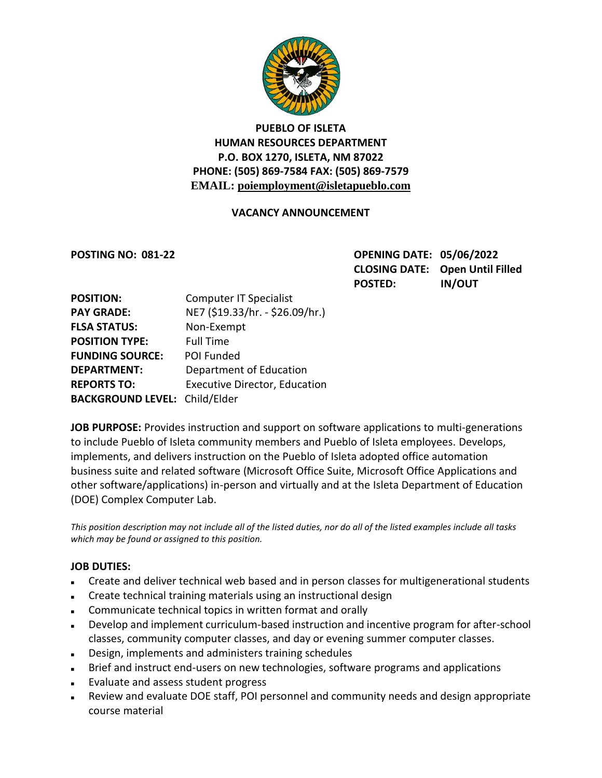

# **PUEBLO OF ISLETA HUMAN RESOURCES DEPARTMENT P.O. BOX 1270, ISLETA, NM 87022 PHONE: (505) 869-7584 FAX: (505) 869-7579 EMAIL: poiemployment@isletapueblo.com**

#### **VACANCY ANNOUNCEMENT**

**POSTING NO: 081-22 OPENING DATE: 05/06/2022 CLOSING DATE: Open Until Filled POSTED: IN/OUT**

| <b>POSITION:</b>                     | <b>Computer IT Specialist</b>        |
|--------------------------------------|--------------------------------------|
| <b>PAY GRADE:</b>                    | NE7 (\$19.33/hr. - \$26.09/hr.)      |
| <b>FLSA STATUS:</b>                  | Non-Exempt                           |
| <b>POSITION TYPE:</b>                | <b>Full Time</b>                     |
| <b>FUNDING SOURCE:</b>               | POI Funded                           |
| <b>DEPARTMENT:</b>                   | Department of Education              |
| <b>REPORTS TO:</b>                   | <b>Executive Director, Education</b> |
| <b>BACKGROUND LEVEL: Child/Elder</b> |                                      |

**JOB PURPOSE:** Provides instruction and support on software applications to multi-generations to include Pueblo of Isleta community members and Pueblo of Isleta employees. Develops, implements, and delivers instruction on the Pueblo of Isleta adopted office automation business suite and related software (Microsoft Office Suite, Microsoft Office Applications and other software/applications) in-person and virtually and at the Isleta Department of Education (DOE) Complex Computer Lab.

*This position description may not include all of the listed duties, nor do all of the listed examples include all tasks which may be found or assigned to this position.*

#### **JOB DUTIES:**

- Create and deliver technical web based and in person classes for multigenerational students
- Create technical training materials using an instructional design
- Communicate technical topics in written format and orally
- Develop and implement curriculum-based instruction and incentive program for after-school classes, community computer classes, and day or evening summer computer classes.
- Design, implements and administers training schedules
- Brief and instruct end-users on new technologies, software programs and applications
- **Evaluate and assess student progress**
- Review and evaluate DOE staff, POI personnel and community needs and design appropriate course material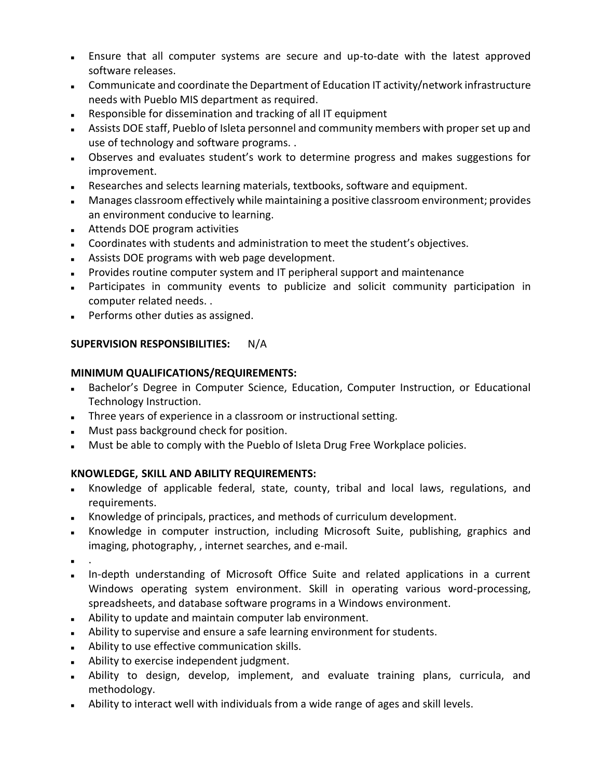- Ensure that all computer systems are secure and up-to-date with the latest approved software releases.
- Communicate and coordinate the Department of Education IT activity/network infrastructure needs with Pueblo MIS department as required.
- Responsible for dissemination and tracking of all IT equipment
- Assists DOE staff, Pueblo of Isleta personnel and community members with proper set up and use of technology and software programs. .
- Dbserves and evaluates student's work to determine progress and makes suggestions for improvement.
- Researches and selects learning materials, textbooks, software and equipment.
- Manages classroom effectively while maintaining a positive classroom environment; provides an environment conducive to learning.
- **Attends DOE program activities**
- Coordinates with students and administration to meet the student's objectives.
- Assists DOE programs with web page development.
- **Provides routine computer system and IT peripheral support and maintenance**
- Participates in community events to publicize and solicit community participation in computer related needs. .
- **Performs other duties as assigned.**

# **SUPERVISION RESPONSIBILITIES:** N/A

## **MINIMUM QUALIFICATIONS/REQUIREMENTS:**

- Bachelor's Degree in Computer Science, Education, Computer Instruction, or Educational Technology Instruction.
- Three years of experience in a classroom or instructional setting.
- **Must pass background check for position.**
- **Must be able to comply with the Pueblo of Isleta Drug Free Workplace policies.**

## **KNOWLEDGE, SKILL AND ABILITY REQUIREMENTS:**

- Knowledge of applicable federal, state, county, tribal and local laws, regulations, and requirements.
- Knowledge of principals, practices, and methods of curriculum development.
- Knowledge in computer instruction, including Microsoft Suite, publishing, graphics and imaging, photography, , internet searches, and e-mail.
- .
- In-depth understanding of Microsoft Office Suite and related applications in a current Windows operating system environment. Skill in operating various word-processing, spreadsheets, and database software programs in a Windows environment.
- Ability to update and maintain computer lab environment.
- Ability to supervise and ensure a safe learning environment for students.
- **Ability to use effective communication skills.**
- Ability to exercise independent judgment.
- Ability to design, develop, implement, and evaluate training plans, curricula, and methodology.
- Ability to interact well with individuals from a wide range of ages and skill levels.